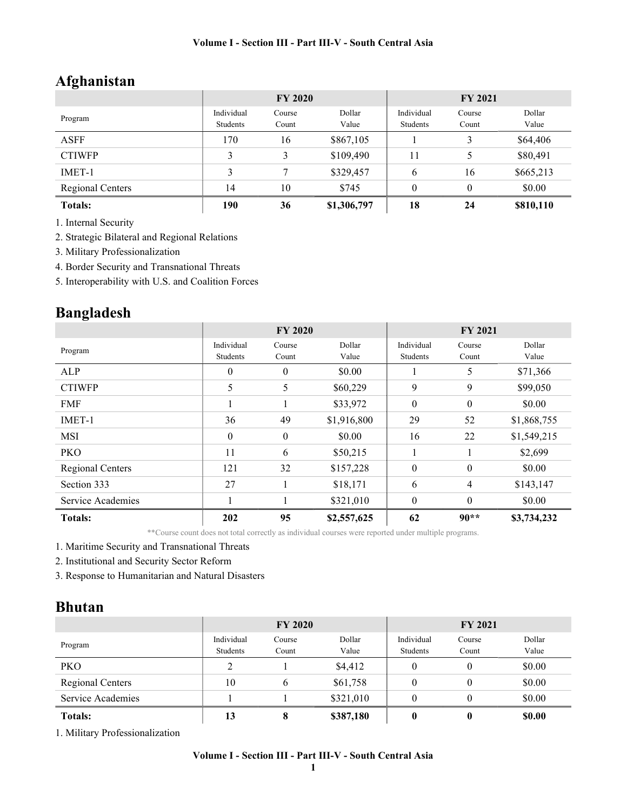# Afghanistan

|                         |            | <b>FY 2020</b> |             | <b>FY 2021</b> |          |           |
|-------------------------|------------|----------------|-------------|----------------|----------|-----------|
|                         | Individual | Course         | Dollar      | Individual     | Course   | Dollar    |
| Program                 | Students   | Count          | Value       | Students       | Count    | Value     |
| <b>ASFF</b>             | 170        | 16             | \$867,105   |                | 3        | \$64,406  |
| <b>CTIWFP</b>           | 3          | 3              | \$109,490   | 11             | 5        | \$80,491  |
| IMET-1                  | 3          |                | \$329,457   | 6              | 16       | \$665,213 |
| <b>Regional Centers</b> | 14         | 10             | \$745       | $\theta$       | $\theta$ | \$0.00    |
| <b>Totals:</b>          | 190        | 36             | \$1,306,797 | 18             | 24       | \$810,110 |

1. Internal Security

2. Strategic Bilateral and Regional Relations

3. Military Professionalization

4. Border Security and Transnational Threats

5. Interoperability with U.S. and Coalition Forces

## Bangladesh

|                   |                        | <b>FY 2020</b>   |                 |                        | <b>FY 2021</b>  |                 |  |
|-------------------|------------------------|------------------|-----------------|------------------------|-----------------|-----------------|--|
| Program           | Individual<br>Students | Course<br>Count  | Dollar<br>Value | Individual<br>Students | Course<br>Count | Dollar<br>Value |  |
| ALP               | 0                      | 0                | \$0.00          | Ι.                     | 5               | \$71,366        |  |
| <b>CTIWFP</b>     | 5                      | 5                | \$60,229        | 9                      | 9               | \$99,050        |  |
| <b>FMF</b>        |                        |                  | \$33,972        | $\mathbf{0}$           | $\mathbf{0}$    | \$0.00          |  |
| IMET-1            | 36                     | 49               | \$1,916,800     | 29                     | 52              | \$1,868,755     |  |
| MSI               | $\boldsymbol{0}$       | $\boldsymbol{0}$ | \$0.00          | 16                     | 22              | \$1,549,215     |  |
| <b>PKO</b>        | 11                     | 6                | \$50,215        |                        |                 | \$2,699         |  |
| Regional Centers  | 121                    | 32               | \$157,228       | $\mathbf{0}$           | $\mathbf{0}$    | \$0.00          |  |
| Section 333       | 27                     |                  | \$18,171        | 6                      | $\overline{4}$  | \$143,147       |  |
| Service Academies |                        |                  | \$321,010       | $\mathbf{0}$           | $\mathbf{0}$    | \$0.00          |  |
| <b>Totals:</b>    | 202                    | 95               | \$2,557,625     | 62                     | $90**$          | \$3,734,232     |  |

\*\*Course count does not total correctly as individual courses were reported under multiple programs.

1. Maritime Security and Transnational Threats

2. Institutional and Security Sector Reform

3. Response to Humanitarian and Natural Disasters

#### Bhutan

|                   | <b>FY 2020</b>         |                 |                 | <b>FY 2021</b>         |                 |                 |
|-------------------|------------------------|-----------------|-----------------|------------------------|-----------------|-----------------|
| Program           | Individual<br>Students | Course<br>Count | Dollar<br>Value | Individual<br>Students | Course<br>Count | Dollar<br>Value |
| <b>PKO</b>        | າ                      |                 | \$4,412         |                        |                 | \$0.00          |
| Regional Centers  | 10                     | 6               | \$61,758        | $\theta$               |                 | \$0.00          |
| Service Academies |                        |                 | \$321,010       | $\theta$               |                 | \$0.00          |
| <b>Totals:</b>    | 13                     | 8               | \$387,180       | 0                      | 0               | \$0.00          |

1. Military Professionalization

#### Volume I - Section III - Part III-V - South Central Asia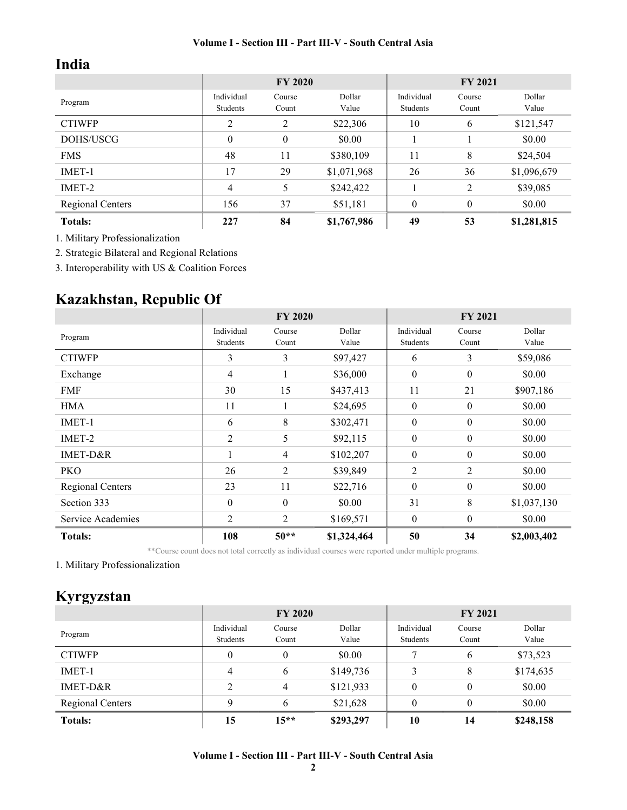#### Volume I - Section III - Part III-V - South Central Asia

## India

|                  |                        | <b>FY 2020</b>   |                 |                        | <b>FY 2021</b>  |                 |
|------------------|------------------------|------------------|-----------------|------------------------|-----------------|-----------------|
| Program          | Individual<br>Students | Course<br>Count  | Dollar<br>Value | Individual<br>Students | Course<br>Count | Dollar<br>Value |
| <b>CTIWFP</b>    | 2                      | 2                | \$22,306        | 10                     | 6               | \$121,547       |
| DOHS/USCG        | $\boldsymbol{0}$       | $\boldsymbol{0}$ | \$0.00          |                        |                 | \$0.00          |
| <b>FMS</b>       | 48                     | 11               | \$380,109       | 11                     | 8               | \$24,504        |
| IMET-1           | 17                     | 29               | \$1,071,968     | 26                     | 36              | \$1,096,679     |
| IMET-2           | 4                      | 5                | \$242,422       |                        | 2               | \$39,085        |
| Regional Centers | 156                    | 37               | \$51,181        | $\theta$               | $\mathbf{0}$    | \$0.00          |
| <b>Totals:</b>   | 227                    | 84               | \$1,767,986     | 49                     | 53              | \$1,281,815     |

1. Military Professionalization

2. Strategic Bilateral and Regional Relations

3. Interoperability with US & Coalition Forces

# Kazakhstan, Republic Of

|                   |                | <b>FY 2020</b> |             |                  | <b>FY 2021</b>   |             |
|-------------------|----------------|----------------|-------------|------------------|------------------|-------------|
| Program           | Individual     | Course         | Dollar      | Individual       | Course           | Dollar      |
|                   | Students       | Count          | Value       | Students         | Count            | Value       |
| <b>CTIWFP</b>     | 3              | 3              | \$97,427    | 6                | 3                | \$59,086    |
| Exchange          | $\overline{4}$ |                | \$36,000    | $\theta$         | $\theta$         | \$0.00      |
| <b>FMF</b>        | 30             | 15             | \$437,413   | 11               | 21               | \$907,186   |
| <b>HMA</b>        | 11             |                | \$24,695    | $\mathbf{0}$     | $\boldsymbol{0}$ | \$0.00      |
| IMET-1            | 6              | 8              | \$302,471   | $\mathbf{0}$     | $\boldsymbol{0}$ | \$0.00      |
| IMET-2            | 2              | 5              | \$92,115    | $\mathbf{0}$     | $\boldsymbol{0}$ | \$0.00      |
| IMET-D&R          |                | $\overline{4}$ | \$102,207   | $\boldsymbol{0}$ | $\boldsymbol{0}$ | \$0.00      |
| <b>PKO</b>        | 26             | $\overline{2}$ | \$39,849    | 2                | 2                | \$0.00      |
| Regional Centers  | 23             | 11             | \$22,716    | $\mathbf{0}$     | $\mathbf{0}$     | \$0.00      |
| Section 333       | $\mathbf{0}$   | $\mathbf{0}$   | \$0.00      | 31               | 8                | \$1,037,130 |
| Service Academies | $\overline{2}$ | $\overline{2}$ | \$169,571   | $\boldsymbol{0}$ | $\boldsymbol{0}$ | \$0.00      |
| <b>Totals:</b>    | 108            | $50**$         | \$1,324,464 | 50               | 34               | \$2,003,402 |

\*\*Course count does not total correctly as individual courses were reported under multiple programs.

1. Military Professionalization

### Kyrgyzstan

|                  | <b>FY 2020</b>         |                 |                 | <b>FY 2021</b>         |                 |                 |
|------------------|------------------------|-----------------|-----------------|------------------------|-----------------|-----------------|
| Program          | Individual<br>Students | Course<br>Count | Dollar<br>Value | Individual<br>Students | Course<br>Count | Dollar<br>Value |
| <b>CTIWFP</b>    | 0                      | 0               | \$0.00          | ⇁                      | 6               | \$73,523        |
| IMET-1           | 4                      | 6               | \$149,736       | 3                      | 8               | \$174,635       |
| IMET-D&R         | ↑                      | 4               | \$121,933       | $\theta$               | $\theta$        | \$0.00          |
| Regional Centers | Q                      | 6               | \$21,628        | $\theta$               | $\Omega$        | \$0.00          |
| <b>Totals:</b>   | 15                     | $15**$          | \$293,297       | 10                     | 14              | \$248,158       |

#### Volume I - Section III - Part III-V - South Central Asia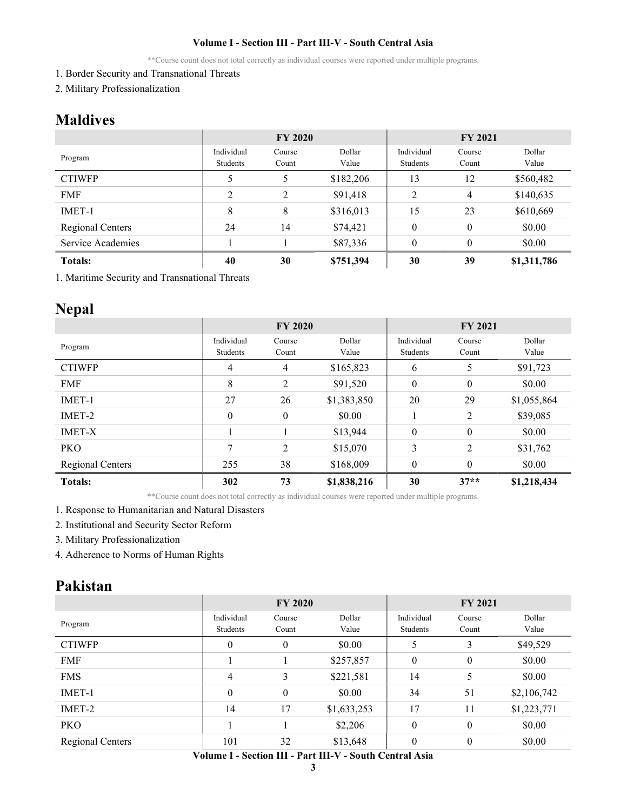#### Volume I - Section III - Part III-V - South Central Asia

\*\*Course count does not total correctly as individual courses were reported under multiple programs.

- 1. Border Security and Transnational Threats
- 2. Military Professionalization

### Maldives

|                   |                | <b>FY 2020</b> |           |            | <b>FY 2021</b> |             |
|-------------------|----------------|----------------|-----------|------------|----------------|-------------|
| Program           | Individual     | Course         | Dollar    | Individual | Course         | Dollar      |
|                   | Students       | Count          | Value     | Students   | Count          | Value       |
| <b>CTIWFP</b>     | Ć              | 5              | \$182,206 | 13         | 12             | \$560,482   |
| <b>FMF</b>        | $\overline{2}$ | $\overline{2}$ | \$91,418  | 2          | 4              | \$140,635   |
| IMET-1            | 8              | 8              | \$316,013 | 15         | 23             | \$610,669   |
| Regional Centers  | 24             | 14             | \$74,421  | $\theta$   | $\theta$       | \$0.00      |
| Service Academies |                |                | \$87,336  | $\theta$   | $\theta$       | \$0.00      |
| <b>Totals:</b>    | 40             | 30             | \$751,394 | 30         | 39             | \$1,311,786 |

1. Maritime Security and Transnational Threats

#### Nepal

|                  |                        | <b>FY 2020</b>   |                 |                        | <b>FY 2021</b>   |                 |
|------------------|------------------------|------------------|-----------------|------------------------|------------------|-----------------|
| Program          | Individual<br>Students | Course<br>Count  | Dollar<br>Value | Individual<br>Students | Course<br>Count  | Dollar<br>Value |
| <b>CTIWFP</b>    | 4                      | 4                | \$165,823       | 6                      | 5                | \$91,723        |
| <b>FMF</b>       | 8                      | 2                | \$91,520        | $\mathbf{0}$           | $\boldsymbol{0}$ | \$0.00          |
| IMET-1           | 27                     | 26               | \$1,383,850     | 20                     | 29               | \$1,055,864     |
| IMET-2           | $\theta$               | $\boldsymbol{0}$ | \$0.00          |                        | 2                | \$39,085        |
| <b>IMET-X</b>    |                        |                  | \$13,944        | $\mathbf{0}$           | $\theta$         | \$0.00          |
| <b>PKO</b>       | 7                      | 2                | \$15,070        | 3                      | 2                | \$31,762        |
| Regional Centers | 255                    | 38               | \$168,009       | $\mathbf{0}$           | $\theta$         | \$0.00          |
| <b>Totals:</b>   | 302                    | 73               | \$1,838,216     | 30                     | $37**$           | \$1,218,434     |

\*\*Course count does not total correctly as individual courses were reported under multiple programs.

1. Response to Humanitarian and Natural Disasters

- 2. Institutional and Security Sector Reform
- 3. Military Professionalization

4. Adherence to Norms of Human Rights

### Pakistan

|                  | <b>FY 2020</b>         |                  |                 |                        | <b>FY 2021</b>  |                 |  |
|------------------|------------------------|------------------|-----------------|------------------------|-----------------|-----------------|--|
| Program          | Individual<br>Students | Course<br>Count  | Dollar<br>Value | Individual<br>Students | Course<br>Count | Dollar<br>Value |  |
| <b>CTIWFP</b>    | $\boldsymbol{0}$       | $\boldsymbol{0}$ | \$0.00          | 5                      | 3               | \$49,529        |  |
| <b>FMF</b>       |                        |                  | \$257,857       | $\mathbf{0}$           | $\mathbf{0}$    | \$0.00          |  |
| <b>FMS</b>       | 4                      | 3                | \$221,581       | 14                     | 5               | \$0.00          |  |
| IMET-1           | $\boldsymbol{0}$       | $\boldsymbol{0}$ | \$0.00          | 34                     | 51              | \$2,106,742     |  |
| IMET-2           | 14                     | 17               | \$1,633,253     | 17                     | 11              | \$1,223,771     |  |
| <b>PKO</b>       |                        |                  | \$2,206         | $\boldsymbol{0}$       | $\mathbf{0}$    | \$0.00          |  |
| Regional Centers | 101                    | 32               | \$13,648        | $\theta$               | $\mathbf{0}$    | \$0.00          |  |

#### Volume I - Section III - Part III-V - South Central Asia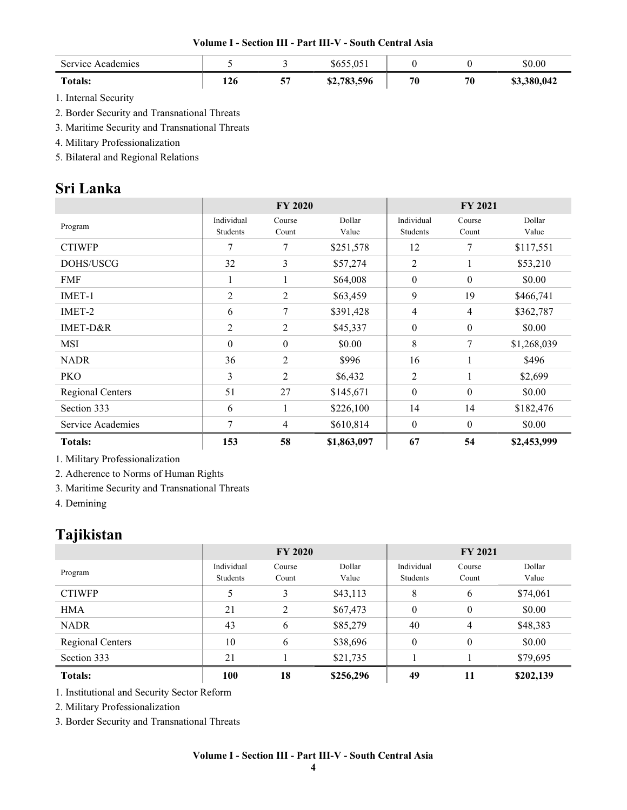|  |  | Volume I - Section III - Part III-V - South Central Asia |  |
|--|--|----------------------------------------------------------|--|
|--|--|----------------------------------------------------------|--|

| Service Academies |     |          | 255 A.C<br>Y022.U21 |    |    | \$0.00      |
|-------------------|-----|----------|---------------------|----|----|-------------|
| <b>Totals:</b>    | 126 | EF.<br>ີ | \$2,783,596         | 70 | 70 | \$3,380,042 |

1. Internal Security

2. Border Security and Transnational Threats

3. Maritime Security and Transnational Threats

4. Military Professionalization

5. Bilateral and Regional Relations

### Sri Lanka

|                   |                        | <b>FY 2020</b>   |                 |                        | FY 2021          |                 |  |
|-------------------|------------------------|------------------|-----------------|------------------------|------------------|-----------------|--|
| Program           | Individual<br>Students | Course<br>Count  | Dollar<br>Value | Individual<br>Students | Course<br>Count  | Dollar<br>Value |  |
| <b>CTIWFP</b>     | 7                      | 7                | \$251,578       | 12                     | 7                | \$117,551       |  |
| DOHS/USCG         | 32                     | 3                | \$57,274        | 2                      | 1                | \$53,210        |  |
| <b>FMF</b>        | 1                      | 1                | \$64,008        | $\boldsymbol{0}$       | $\boldsymbol{0}$ | \$0.00          |  |
| IMET-1            | $\overline{2}$         | $\overline{2}$   | \$63,459        | 9                      | 19               | \$466,741       |  |
| IMET-2            | 6                      | 7                | \$391,428       | 4                      | 4                | \$362,787       |  |
| IMET-D&R          | $\overline{2}$         | $\overline{2}$   | \$45,337        | $\boldsymbol{0}$       | $\boldsymbol{0}$ | \$0.00          |  |
| MSI               | $\mathbf{0}$           | $\boldsymbol{0}$ | \$0.00          | 8                      | 7                | \$1,268,039     |  |
| <b>NADR</b>       | 36                     | 2                | \$996           | 16                     |                  | \$496           |  |
| <b>PKO</b>        | 3                      | 2                | \$6,432         | 2                      |                  | \$2,699         |  |
| Regional Centers  | 51                     | 27               | \$145,671       | $\boldsymbol{0}$       | $\boldsymbol{0}$ | \$0.00          |  |
| Section 333       | 6                      |                  | \$226,100       | 14                     | 14               | \$182,476       |  |
| Service Academies | 7                      | $\overline{4}$   | \$610,814       | $\mathbf{0}$           | $\boldsymbol{0}$ | \$0.00          |  |
| <b>Totals:</b>    | 153                    | 58               | \$1,863,097     | 67                     | 54               | \$2,453,999     |  |

1. Military Professionalization

2. Adherence to Norms of Human Rights

3. Maritime Security and Transnational Threats

4. Demining

## Tajikistan

|                  | <b>FY 2020</b> |        |           | <b>FY 2021</b>   |                  |           |  |
|------------------|----------------|--------|-----------|------------------|------------------|-----------|--|
| Program          | Individual     | Course | Dollar    | Individual       | Course           | Dollar    |  |
|                  | Students       | Count  | Value     | Students         | Count            | Value     |  |
| <b>CTIWFP</b>    |                | 3      | \$43,113  | 8                | 6                | \$74,061  |  |
| <b>HMA</b>       | 21             | 2      | \$67,473  | $\boldsymbol{0}$ | $\boldsymbol{0}$ | \$0.00    |  |
| <b>NADR</b>      | 43             | 6      | \$85,279  | 40               | 4                | \$48,383  |  |
| Regional Centers | 10             | 6      | \$38,696  | $\boldsymbol{0}$ | $\boldsymbol{0}$ | \$0.00    |  |
| Section 333      | 21             |        | \$21,735  |                  |                  | \$79,695  |  |
| <b>Totals:</b>   | 100            | 18     | \$256,296 | 49               | 11               | \$202,139 |  |

1. Institutional and Security Sector Reform

2. Military Professionalization

3. Border Security and Transnational Threats